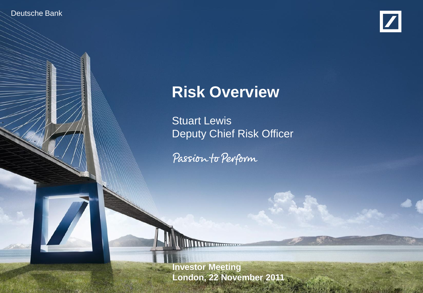Deutsche Bank

Investor Relations



1

# **Risk Overview**

Stuart Lewis Deputy Chief Risk Officer

Passion to Perform

Stuart Lewis, Deputy Chief Risk Officer, Deputy Chief Risk Officer, Deputy Chief Risk Officer, Deputy Chief Ris **Deutsche Bank financial transparency. In the Bank financial transparency. In the Bank financial transparency. I Investor Meeting**

London, 22 November 2011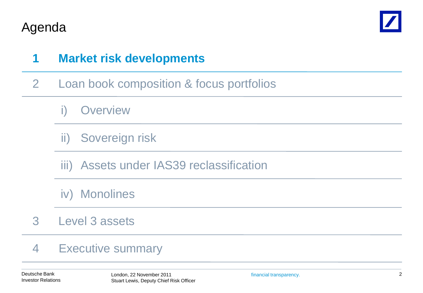



### **1 Market risk developments**

- 2 Loan book composition & focus portfolios
	- **Overview**
	- ii) Sovereign risk
	- iii) Assets under IAS39 reclassification
	- iv) Monolines
- Level 3 assets 3

#### Executive summary 4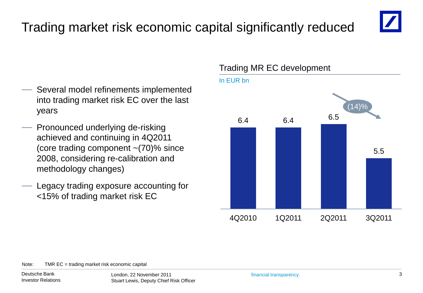## Trading market risk economic capital significantly reduced



- Several model refinements implemented into trading market risk EC over the last years
- Pronounced underlying de-risking achieved and continuing in 4Q2011 (core trading component  $\sim$  (70)% since 2008, considering re-calibration and methodology changes)
- Legacy trading exposure accounting for <15% of trading market risk EC

### Trading MR EC development



Note: TMR EC = trading market risk economic capital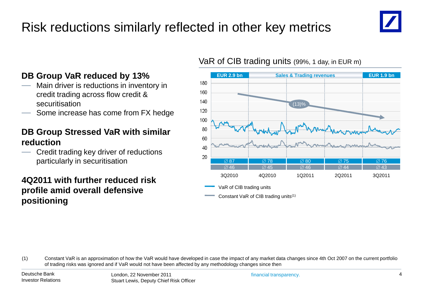## Risk reductions similarly reflected in other key metrics



### **DB Group VaR reduced by 13%**

- Main driver is reductions in inventory in credit trading across flow credit & securitisation
- Some increase has come from FX hedge

### **DB Group Stressed VaR with similar reduction**

— Credit trading key driver of reductions particularly in securitisation

### **4Q2011 with further reduced risk profile amid overall defensive positioning**

### VaR of CIB trading units (99%, 1 day, in EUR m)



VaR of CIB trading units

Constant VaR of CIB trading units(1)

(1) Constant VaR is an approximation of how the VaR would have developed in case the impact of any market data changes since 4th Oct 2007 on the current portfolio of trading risks was ignored and if VaR would not have been affected by any methodology changes since then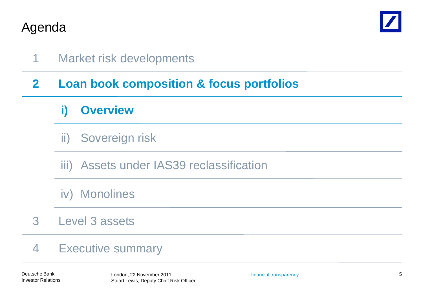

### 1 Market risk developments

### **2 Loan book composition & focus portfolios**

### **i) Overview**

- ii) Sovereign risk
- iii) Assets under IAS39 reclassification
- iv) Monolines
- Level 3 assets 3

#### Executive summary 4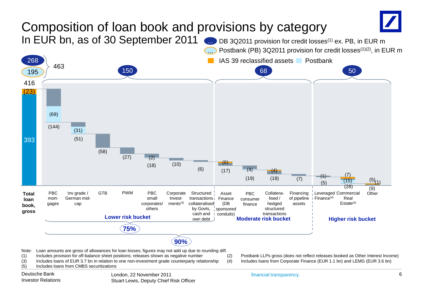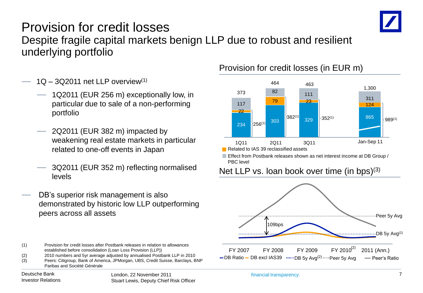

### Provision for credit losses Despite fragile capital markets benign LLP due to robust and resilient underlying portfolio

- $1Q 3Q$ 2011 net LLP overview<sup>(1)</sup>
	- 1Q2011 (EUR 256 m) exceptionally low, in particular due to sale of a non-performing portfolio
	- 2Q2011 (EUR 382 m) impacted by weakening real estate markets in particular related to one-off events in Japan
	- 3Q2011 (EUR 352 m) reflecting normalised levels
- DB's superior risk management is also demonstrated by historic low LLP outperforming peers across all assets

#### (1) Provision for credit losses after Postbank releases in relation to allowances established before consolidation (Loan Loss Provision (LLP))

- (2) 2010 numbers and 5yr average adjusted by annualised Postbank LLP in 2010
- (3) Peers: Citigroup, Bank of America, JPMorgan, UBS, Credit Suisse, Barclays, BNP Paribas and Société Générale

### Investor Relations

#### Deutsche Bank ist eine Schweiter der London, 22 November 2011 ist eine Frankreise eine Financial transparency. Stuart Lewis, Deputy Chief Risk Officer

### Provision for credit losses (in EUR m)



Related to IAS 39 reclassified assets

Effect from Postbank releases shown as net interest income at DB Group / PBC level

### Net LLP vs. loan book over time (in bps)<sup>(3)</sup>

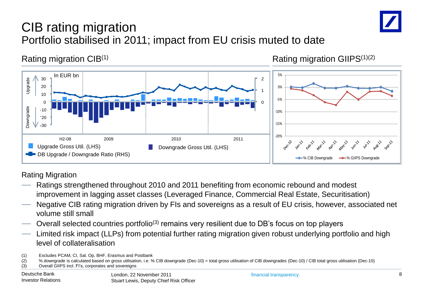

## CIB rating migration Portfolio stabilised in 2011; impact from EU crisis muted to date

Rating migration  $CIB^{(1)}$  Rating migration GIIPS<sup>(1)(2)</sup>



Rating Migration

- Ratings strengthened throughout 2010 and 2011 benefiting from economic rebound and modest improvement in lagging asset classes (Leveraged Finance, Commercial Real Estate, Securitisation)
- Negative CIB rating migration driven by FIs and sovereigns as a result of EU crisis, however, associated net volume still small
- Overall selected countries portfolio(3) remains very resilient due to DB's focus on top players
- Limited risk impact (LLPs) from potential further rating migration given robust underlying portfolio and high level of collateralisation
- (1) Excludes PCAM, CI, Sal. Op, BHF, Erasmus and Postbank
- (2) % downgrade is calculated based on gross utilisation, i.e. % CIB downgrade (Dec-10) = total gross utilisation of CIB downgrades (Dec-10) / CIB total gross utilisation (Dec-10)
- (3) Overall GIIPS incl. FI's, corporates and sovereigns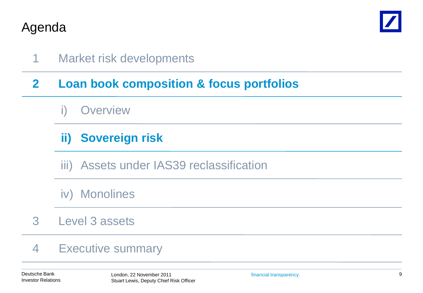

1 Market risk developments

### **2 Loan book composition & focus portfolios**

### **Overview**

## **Sovereign risk ii)**

- iii) Assets under IAS39 reclassification
- iv) Monolines
- Level 3 assets 3

#### Executive summary 4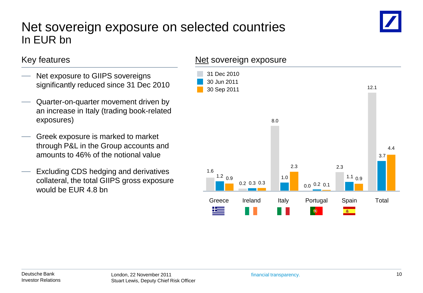### Net sovereign exposure on selected countries In EUR bn

### Key features

- Net exposure to GIIPS sovereigns significantly reduced since 31 Dec 2010
- Quarter-on-quarter movement driven by an increase in Italy (trading book-related exposures)
- Greek exposure is marked to market through P&L in the Group accounts and amounts to 46% of the notional value
- Excluding CDS hedging and derivatives collateral, the total GIIPS gross exposure would be EUR 4.8 bn

### Net sovereign exposure

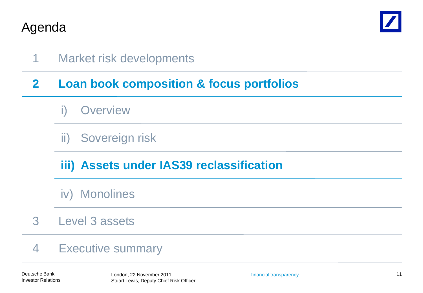

1 Market risk developments

### **2 Loan book composition & focus portfolios**

- **Overview**
- ii) Sovereign risk

## **iii) Assets under IAS39 reclassification**

- iv) Monolines
- Level 3 assets 3

#### Executive summary 4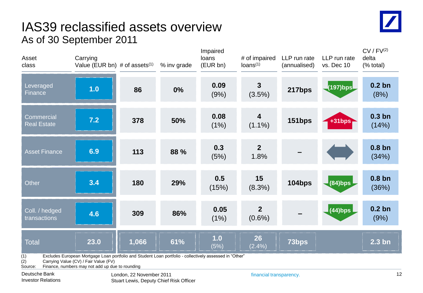### IAS39 reclassified assets overview As of 30 September 2011

| LP run rate delta | CV / FV <sup>(2)</sup> |
|-------------------|------------------------|
| s. Dec 10         | (% total)              |

| Asset<br>class                                                                                                                                                                                                               | Carrying<br>Value (EUR bn) $#$ of assets $(1)$ |       | % inv grade | loans<br>(EUR bn) | # of impaired<br>loans <sup>(1)</sup> | LLP run rate<br>(annualised) | LLP run rate<br>vs. Dec 10 | delta<br>(% total)         |
|------------------------------------------------------------------------------------------------------------------------------------------------------------------------------------------------------------------------------|------------------------------------------------|-------|-------------|-------------------|---------------------------------------|------------------------------|----------------------------|----------------------------|
| Leveraged<br>Finance                                                                                                                                                                                                         | 1.0                                            | 86    | 0%          | 0.09<br>(9%)      | $3\phantom{a}$<br>(3.5%)              | 217bps                       |                            | 0.2 <sub>bn</sub><br>(8%)  |
| <b>Commercial</b><br><b>Real Estate</b>                                                                                                                                                                                      | 7.2                                            | 378   | 50%         | 0.08<br>(1%)      | $\overline{\mathbf{4}}$<br>$(1.1\%)$  | 151bps                       | +31bps -                   | 0.3 <sub>bn</sub><br>(14%) |
| <b>Asset Finance</b>                                                                                                                                                                                                         | 6.9                                            | 113   | 88 %        | 0.3<br>(5%)       | 2 <sup>2</sup><br>1.8%                |                              |                            | 0.8 <sub>bn</sub><br>(34%) |
| Other                                                                                                                                                                                                                        | 3.4                                            | 180   | 29%         | 0.5<br>(15%)      | 15<br>(8.3%)                          | 104bps                       | $(84)$ bps                 | 0.8 <sub>bn</sub><br>(36%) |
| Coll. / hedged<br>transactions                                                                                                                                                                                               | 4.6                                            | 309   | 86%         | 0.05<br>(1%)      | 2 <sup>2</sup><br>$(0.6\%)$           |                              | $(44)$ bps                 | 0.2 <sub>bn</sub><br>(9%)  |
| <b>Total</b>                                                                                                                                                                                                                 | 23.0                                           | 1,066 | 61%         | 1.0<br>(5%)       | 26<br>(2.4% )                         | 73bps                        |                            | 2.3 <sub>bn</sub>          |
| Excludes European Mortgage Loan portfolio and Student Loan portfolio - collectively assessed in "Other"<br>(1)<br>(2)<br>Carrying Value (CV) / Fair Value (FV)<br>Source:<br>Finance, numbers may not add up due to rounding |                                                |       |             |                   |                                       |                              |                            |                            |

Impaired

Deutsche Bank ist eine Schweiter der London, 22 November 2011 ist eine Frankreise eine Financial transparency. Stuart Lewis, Deputy Chief Risk Officer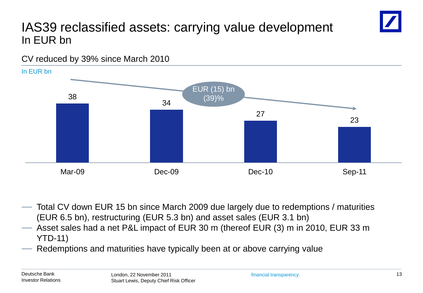## IAS39 reclassified assets: carrying value development In EUR bn

CV reduced by 39% since March 2010



- Total CV down EUR 15 bn since March 2009 due largely due to redemptions / maturities (EUR 6.5 bn), restructuring (EUR 5.3 bn) and asset sales (EUR 3.1 bn)
- Asset sales had a net P&L impact of EUR 30 m (thereof EUR (3) m in 2010, EUR 33 m YTD-11)
- Redemptions and maturities have typically been at or above carrying value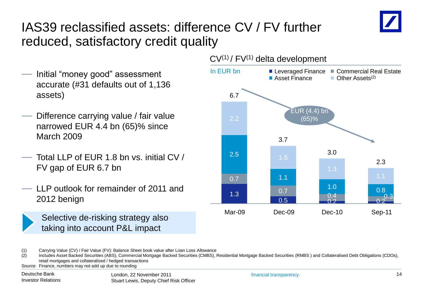

## IAS39 reclassified assets: difference CV / FV further reduced, satisfactory credit quality

- Initial "money good" assessment accurate (#31 defaults out of 1,136 assets)
- Difference carrying value / fair value narrowed EUR 4.4 bn (65)% since March 2009
- Total LLP of FUR 1.8 bn vs. initial CV / FV gap of EUR 6.7 bn
- LLP outlook for remainder of 2011 and 2012 benign



Selective de-risking strategy also taking into account P&L impact



 $CV<sup>(1)</sup> / FV<sup>(1)</sup>$  delta development

(2) Includes Asset Backed Securities (ABS), Commercial Mortgage Backed Securities (CMBS), Residential Mortgage Backed Securities (RMBS ) and Collateralised Debt Obligations (CDOs), retail mortgages and collateralised / hedged transactions

Source: Finance, numbers may not add up due to rounding

<sup>(1)</sup> Carrying Value (CV) / Fair Value (FV): Balance Sheet book value after Loan Loss Allowance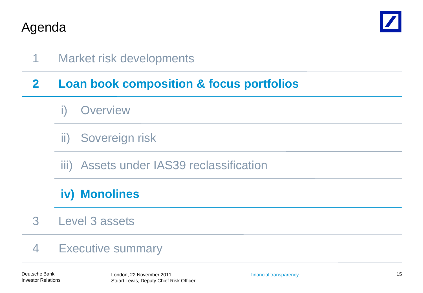

1 Market risk developments

### **2 Loan book composition & focus portfolios**

- **Overview**
- ii) Sovereign risk
- iii) Assets under IAS39 reclassification

## **iv) Monolines**

Level 3 assets 3

#### Executive summary 4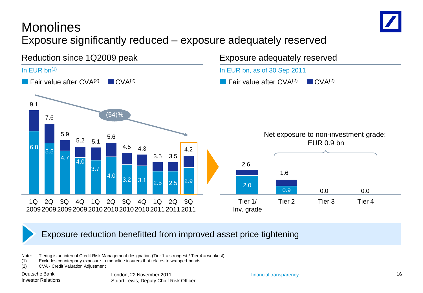

## Monolines Exposure significantly reduced – exposure adequately reserved



### Exposure reduction benefitted from improved asset price tightening

Note: Tiering is an internal Credit Risk Management designation (Tier 1 = strongest / Tier 4 = weakest)

- (1) Excludes counterparty exposure to monoline insurers that relates to wrapped bonds
- (2) CVA Credit Valuation Adjustment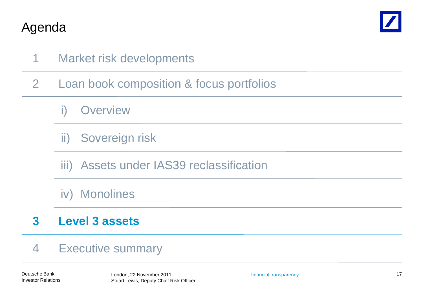

- 1 Market risk developments
- 2 Loan book composition & focus portfolios
	- **Overview**
	- ii) Sovereign risk
	- iii) Assets under IAS39 reclassification
	- iv) Monolines

#### **Level 3 assets 3**

#### Executive summary 4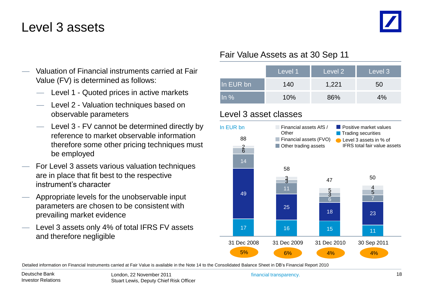## Level 3 assets

- Valuation of Financial instruments carried at Fair Value (FV) is determined as follows:
	- Level 1 Quoted prices in active markets
	- Level 2 Valuation techniques based on observable parameters
	- Level 3 FV cannot be determined directly by reference to market observable information therefore some other pricing techniques must be employed
- For Level 3 assets various valuation techniques are in place that fit best to the respective instrument's character
- Appropriate levels for the unobservable input parameters are chosen to be consistent with prevailing market evidence
- Level 3 assets only 4% of total IFRS FV assets and therefore negligible

### Fair Value Assets as at 30 Sep 11

|           | Level <sub>1</sub> | Level 2 | Level 3 |
|-----------|--------------------|---------|---------|
| In EUR bn | 140                | 1,221   | 50      |
| $\ln \%$  | 10%                | 86%     | 4%      |

### Level 3 asset classes



Detailed information on Financial Instruments carried at Fair Value is available in the Note 14 to the Consolidated Balance Sheet in DB's Financial Report 2010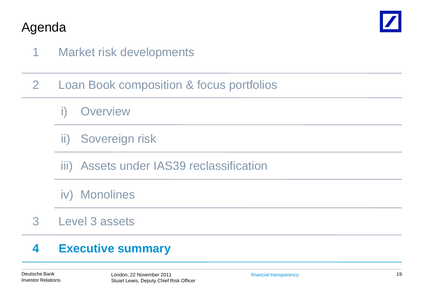

- 1 Market risk developments
- 2 Loan Book composition & focus portfolios
	- **Overview**
	- ii) Sovereign risk
	- iii) Assets under IAS39 reclassification
	- iv) Monolines
- Level 3 assets 3

#### **Executive summary 4**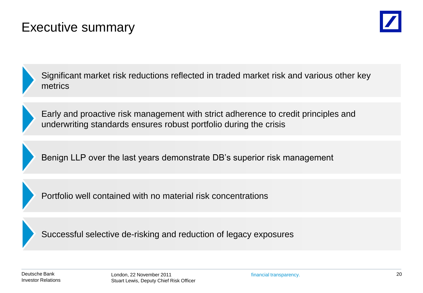## Executive summary





Significant market risk reductions reflected in traded market risk and various other key metrics



Early and proactive risk management with strict adherence to credit principles and underwriting standards ensures robust portfolio during the crisis

Benign LLP over the last years demonstrate DB's superior risk management

Portfolio well contained with no material risk concentrations

Successful selective de-risking and reduction of legacy exposures